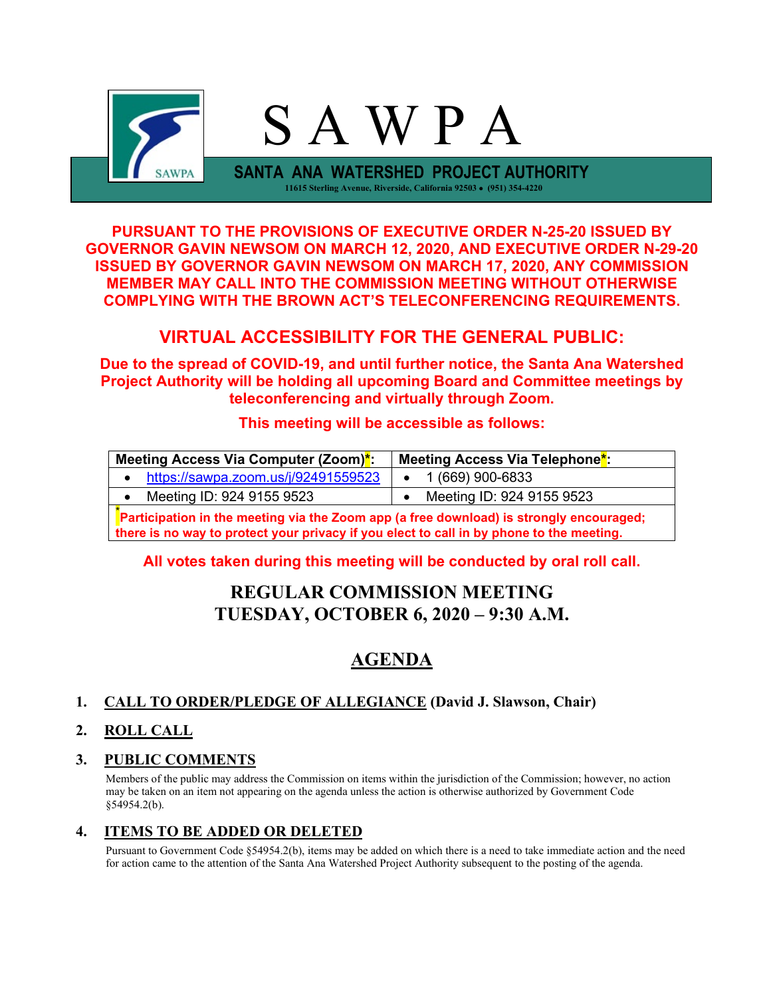

**PURSUANT TO THE PROVISIONS OF EXECUTIVE ORDER N-25-20 ISSUED BY GOVERNOR GAVIN NEWSOM ON MARCH 12, 2020, AND EXECUTIVE ORDER N-29-20 ISSUED BY GOVERNOR GAVIN NEWSOM ON MARCH 17, 2020, ANY COMMISSION MEMBER MAY CALL INTO THE COMMISSION MEETING WITHOUT OTHERWISE COMPLYING WITH THE BROWN ACT'S TELECONFERENCING REQUIREMENTS.**

## **VIRTUAL ACCESSIBILITY FOR THE GENERAL PUBLIC:**

**Due to the spread of COVID-19, and until further notice, the Santa Ana Watershed Project Authority will be holding all upcoming Board and Committee meetings by teleconferencing and virtually through Zoom.**

### **This meeting will be accessible as follows:**

| Meeting Access Via Computer (Zoom)*:                                                                                                                                                | Meeting Access Via Telephone <sup>*</sup> : |  |  |  |
|-------------------------------------------------------------------------------------------------------------------------------------------------------------------------------------|---------------------------------------------|--|--|--|
| https://sawpa.zoom.us/j/92491559523                                                                                                                                                 | 1 (669) 900-6833                            |  |  |  |
| Meeting ID: 924 9155 9523                                                                                                                                                           | Meeting ID: 924 9155 9523                   |  |  |  |
| Participation in the meeting via the Zoom app (a free download) is strongly encouraged;<br>there is no way to protect your privacy if you elect to call in by phone to the meeting. |                                             |  |  |  |

### **All votes taken during this meeting will be conducted by oral roll call.**

# **REGULAR COMMISSION MEETING TUESDAY, OCTOBER 6, 2020 – 9:30 A.M.**

# **AGENDA**

### **1. CALL TO ORDER/PLEDGE OF ALLEGIANCE (David J. Slawson, Chair)**

### **2. ROLL CALL**

### **3. PUBLIC COMMENTS**

Members of the public may address the Commission on items within the jurisdiction of the Commission; however, no action may be taken on an item not appearing on the agenda unless the action is otherwise authorized by Government Code §54954.2(b).

### **4. ITEMS TO BE ADDED OR DELETED**

Pursuant to Government Code §54954.2(b), items may be added on which there is a need to take immediate action and the need for action came to the attention of the Santa Ana Watershed Project Authority subsequent to the posting of the agenda.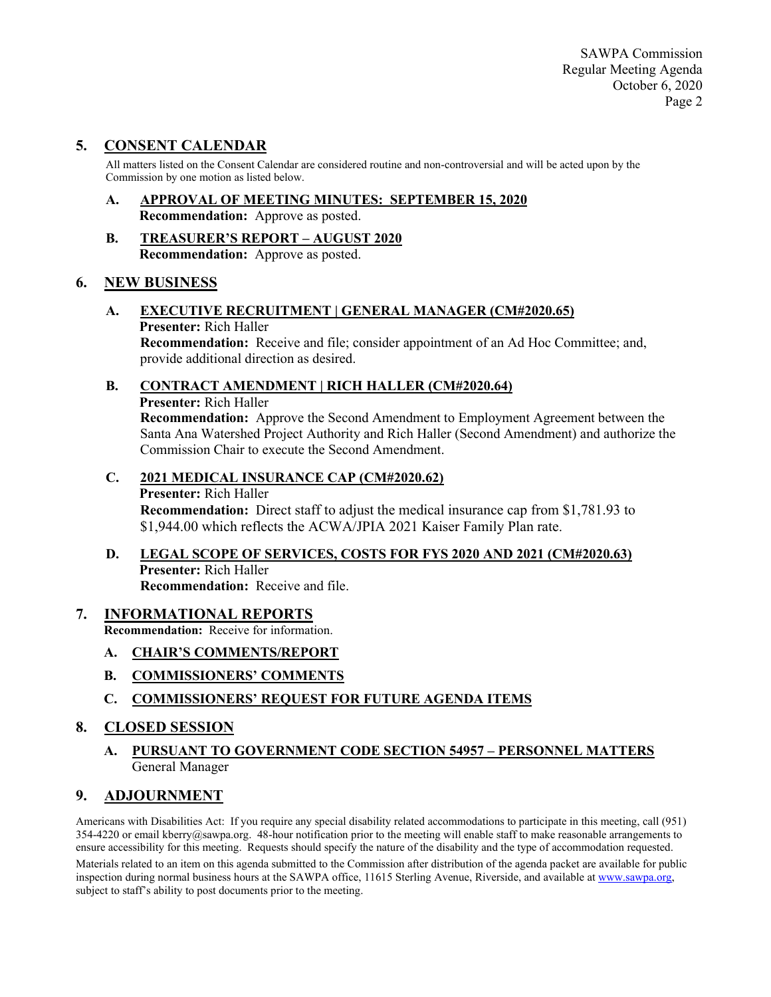SAWPA Commission Regular Meeting Agenda October 6, 2020 Page 2

### **5. CONSENT CALENDAR**

All matters listed on the Consent Calendar are considered routine and non-controversial and will be acted upon by the Commission by one motion as listed below.

- **A. APPROVAL OF MEETING MINUTES: SEPTEMBER 15, 2020 Recommendation:** Approve as posted.
- **B. TREASURER'S REPORT – AUGUST 2020 Recommendation:** Approve as posted.

#### **6. NEW BUSINESS**

**A. EXECUTIVE RECRUITMENT | GENERAL MANAGER (CM#2020.65) Presenter:** Rich Haller **Recommendation:** Receive and file; consider appointment of an Ad Hoc Committee; and, provide additional direction as desired.

### **B. CONTRACT AMENDMENT | RICH HALLER (CM#2020.64)**

**Presenter:** Rich Haller

**Recommendation:** Approve the Second Amendment to Employment Agreement between the Santa Ana Watershed Project Authority and Rich Haller (Second Amendment) and authorize the Commission Chair to execute the Second Amendment.

#### **C. 2021 MEDICAL INSURANCE CAP (CM#2020.62)**

#### **Presenter:** Rich Haller

**Recommendation:** Direct staff to adjust the medical insurance cap from \$1,781.93 to \$1,944.00 which reflects the ACWA/JPIA 2021 Kaiser Family Plan rate.

#### **D. LEGAL SCOPE OF SERVICES, COSTS FOR FYS 2020 AND 2021 (CM#2020.63) Presenter:** Rich Haller **Recommendation:** Receive and file.

#### **7. INFORMATIONAL REPORTS**

**Recommendation:** Receive for information.

- **A. CHAIR'S COMMENTS/REPORT**
- **B. COMMISSIONERS' COMMENTS**
- **C. COMMISSIONERS' REQUEST FOR FUTURE AGENDA ITEMS**

### **8. CLOSED SESSION**

**A. PURSUANT TO GOVERNMENT CODE SECTION 54957 – PERSONNEL MATTERS** General Manager

### **9. ADJOURNMENT**

Americans with Disabilities Act: If you require any special disability related accommodations to participate in this meeting, call (951)  $354-4220$  or email kberry@sawpa.org. 48-hour notification prior to the meeting will enable staff to make reasonable arrangements to ensure accessibility for this meeting. Requests should specify the nature of the disability and the type of accommodation requested. Materials related to an item on this agenda submitted to the Commission after distribution of the agenda packet are available for public inspection during normal business hours at the SAWPA office, 11615 Sterling Avenue, Riverside, and available at [www.sawpa.org,](http://www.sawpa.org/)  subject to staff's ability to post documents prior to the meeting.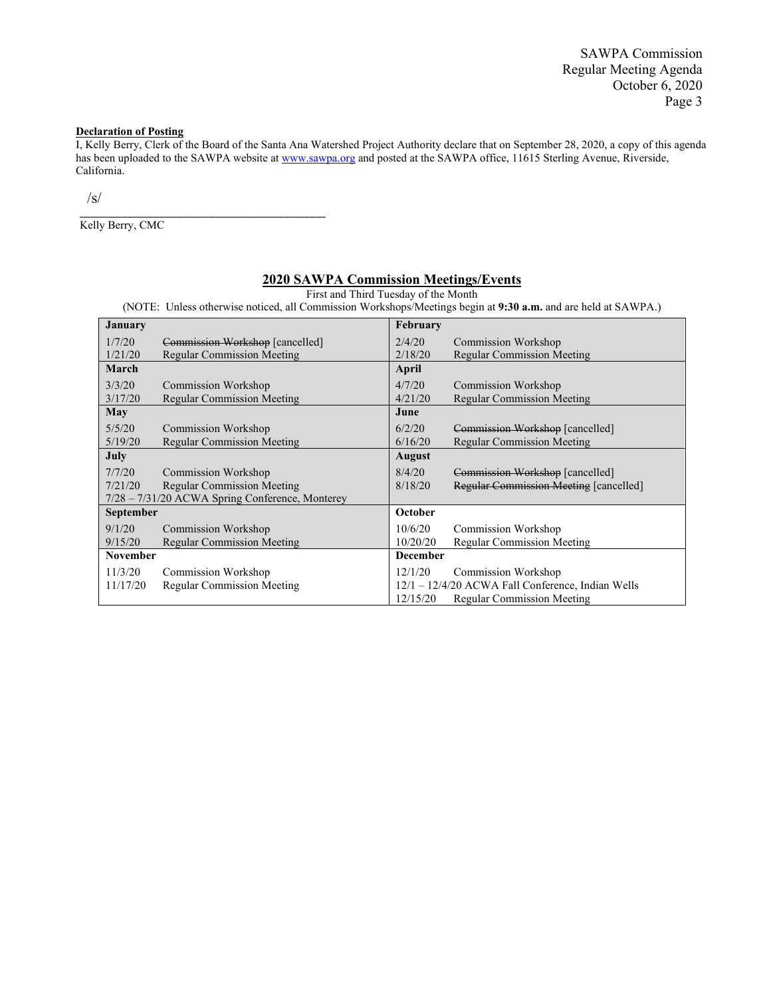SAWPA Commission Regular Meeting Agenda October 6, 2020 Page 3

#### **Declaration of Posting**

I, Kelly Berry, Clerk of the Board of the Santa Ana Watershed Project Authority declare that on September 28, 2020, a copy of this agenda has been uploaded to the SAWPA website at [www.sawpa.org](http://www.sawpa.org/) and posted at the SAWPA office, 11615 Sterling Avenue, Riverside, California.

 $\sqrt{s/}$ 

Kelly Berry, CMC

\_\_\_\_\_\_\_\_\_\_\_\_\_\_\_\_\_\_\_\_\_\_\_\_\_\_\_\_\_\_\_\_\_\_\_\_\_\_\_

#### **2020 SAWPA Commission Meetings/Events**

First and Third Tuesday of the Month

(NOTE: Unless otherwise noticed, all Commission Workshops/Meetings begin at **9:30 a.m.** and are held at SAWPA.)

| <b>January</b>   |                                                   | February        |                                                   |
|------------------|---------------------------------------------------|-----------------|---------------------------------------------------|
| 1/7/20           | Commission Workshop [cancelled]                   | 2/4/20          | Commission Workshop                               |
| 1/21/20          | <b>Regular Commission Meeting</b>                 | 2/18/20         | <b>Regular Commission Meeting</b>                 |
| March            |                                                   | April           |                                                   |
| 3/3/20           | <b>Commission Workshop</b>                        | 4/7/20          | Commission Workshop                               |
| 3/17/20          | <b>Regular Commission Meeting</b>                 | 4/21/20         | <b>Regular Commission Meeting</b>                 |
| <b>May</b>       |                                                   | June            |                                                   |
| 5/5/20           | Commission Workshop                               | 6/2/20          | Commission Workshop [cancelled]                   |
| 5/19/20          | <b>Regular Commission Meeting</b>                 | 6/16/20         | <b>Regular Commission Meeting</b>                 |
| July             |                                                   | <b>August</b>   |                                                   |
| 7/7/20           | <b>Commission Workshop</b>                        | 8/4/20          | Commission Workshop [cancelled]                   |
| 7/21/20          | <b>Regular Commission Meeting</b>                 | 8/18/20         | Regular Commission Meeting [cancelled]            |
|                  | $7/28 - 7/31/20$ ACWA Spring Conference, Monterey |                 |                                                   |
| <b>September</b> |                                                   | October         |                                                   |
| 9/1/20           | Commission Workshop                               | 10/6/20         | Commission Workshop                               |
| 9/15/20          | <b>Regular Commission Meeting</b>                 | 10/20/20        | <b>Regular Commission Meeting</b>                 |
| <b>November</b>  |                                                   | <b>December</b> |                                                   |
| 11/3/20          | Commission Workshop                               | 12/1/20         | Commission Workshop                               |
| 11/17/20         | <b>Regular Commission Meeting</b>                 |                 | 12/1 - 12/4/20 ACWA Fall Conference, Indian Wells |
|                  |                                                   | 12/15/20        | <b>Regular Commission Meeting</b>                 |